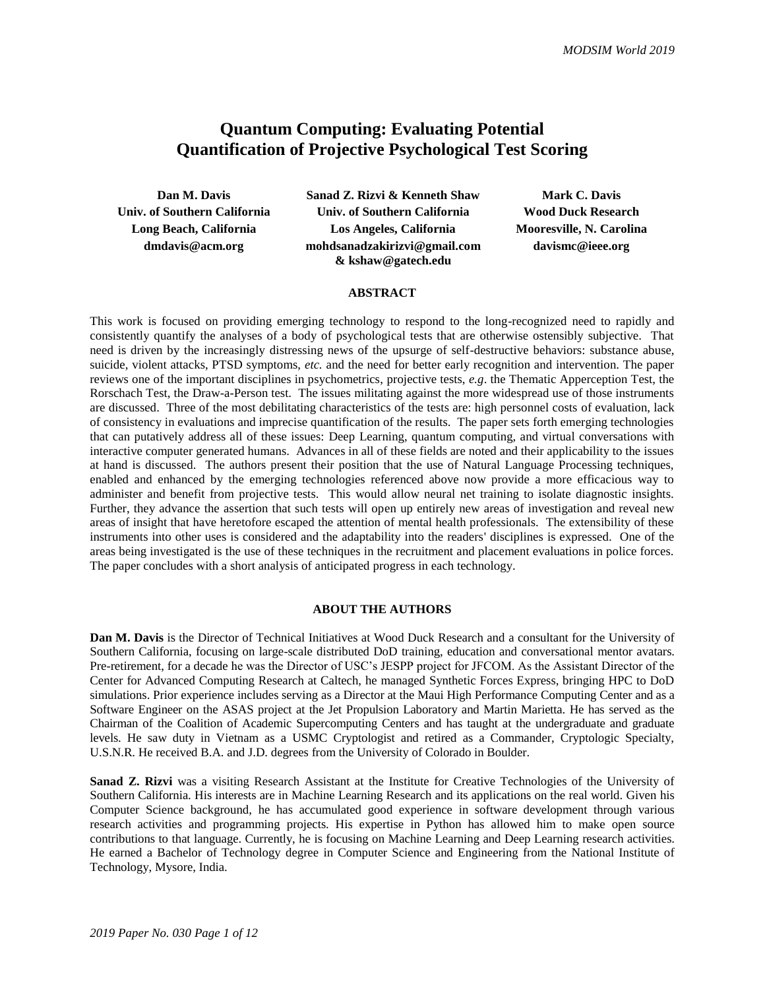# **Quantum Computing: Evaluating Potential Quantification of Projective Psychological Test Scoring**

**Dan M. Davis Sanad Z. Rizvi & Kenneth Shaw Mark C. Davis Univ. of Southern California Univ. of Southern California Wood Duck Research Long Beach, California Los Angeles, California Mooresville, N. Carolina dmdavis@acm.org mohdsanadzakirizvi@gmail.com & kshaw@gatech.edu**

**davismc@ieee.org**

#### **ABSTRACT**

This work is focused on providing emerging technology to respond to the long-recognized need to rapidly and consistently quantify the analyses of a body of psychological tests that are otherwise ostensibly subjective. That need is driven by the increasingly distressing news of the upsurge of self-destructive behaviors: substance abuse, suicide, violent attacks, PTSD symptoms, *etc.* and the need for better early recognition and intervention. The paper reviews one of the important disciplines in psychometrics, projective tests, *e.g*. the Thematic Apperception Test, the Rorschach Test, the Draw-a-Person test. The issues militating against the more widespread use of those instruments are discussed. Three of the most debilitating characteristics of the tests are: high personnel costs of evaluation, lack of consistency in evaluations and imprecise quantification of the results. The paper sets forth emerging technologies that can putatively address all of these issues: Deep Learning, quantum computing, and virtual conversations with interactive computer generated humans. Advances in all of these fields are noted and their applicability to the issues at hand is discussed. The authors present their position that the use of Natural Language Processing techniques, enabled and enhanced by the emerging technologies referenced above now provide a more efficacious way to administer and benefit from projective tests. This would allow neural net training to isolate diagnostic insights. Further, they advance the assertion that such tests will open up entirely new areas of investigation and reveal new areas of insight that have heretofore escaped the attention of mental health professionals. The extensibility of these instruments into other uses is considered and the adaptability into the readers' disciplines is expressed. One of the areas being investigated is the use of these techniques in the recruitment and placement evaluations in police forces. The paper concludes with a short analysis of anticipated progress in each technology.

#### **ABOUT THE AUTHORS**

**Dan M. Davis** is the Director of Technical Initiatives at Wood Duck Research and a consultant for the University of Southern California, focusing on large-scale distributed DoD training, education and conversational mentor avatars. Pre-retirement, for a decade he was the Director of USC's JESPP project for JFCOM. As the Assistant Director of the Center for Advanced Computing Research at Caltech, he managed Synthetic Forces Express, bringing HPC to DoD simulations. Prior experience includes serving as a Director at the Maui High Performance Computing Center and as a Software Engineer on the ASAS project at the Jet Propulsion Laboratory and Martin Marietta. He has served as the Chairman of the Coalition of Academic Supercomputing Centers and has taught at the undergraduate and graduate levels. He saw duty in Vietnam as a USMC Cryptologist and retired as a Commander, Cryptologic Specialty, U.S.N.R. He received B.A. and J.D. degrees from the University of Colorado in Boulder.

**Sanad Z. Rizvi** was a visiting Research Assistant at the Institute for Creative Technologies of the University of Southern California. His interests are in Machine Learning Research and its applications on the real world. Given his Computer Science background, he has accumulated good experience in software development through various research activities and programming projects. His expertise in Python has allowed him to make open source contributions to that language. Currently, he is focusing on Machine Learning and Deep Learning research activities. He earned a Bachelor of Technology degree in Computer Science and Engineering from the National Institute of Technology, Mysore, India.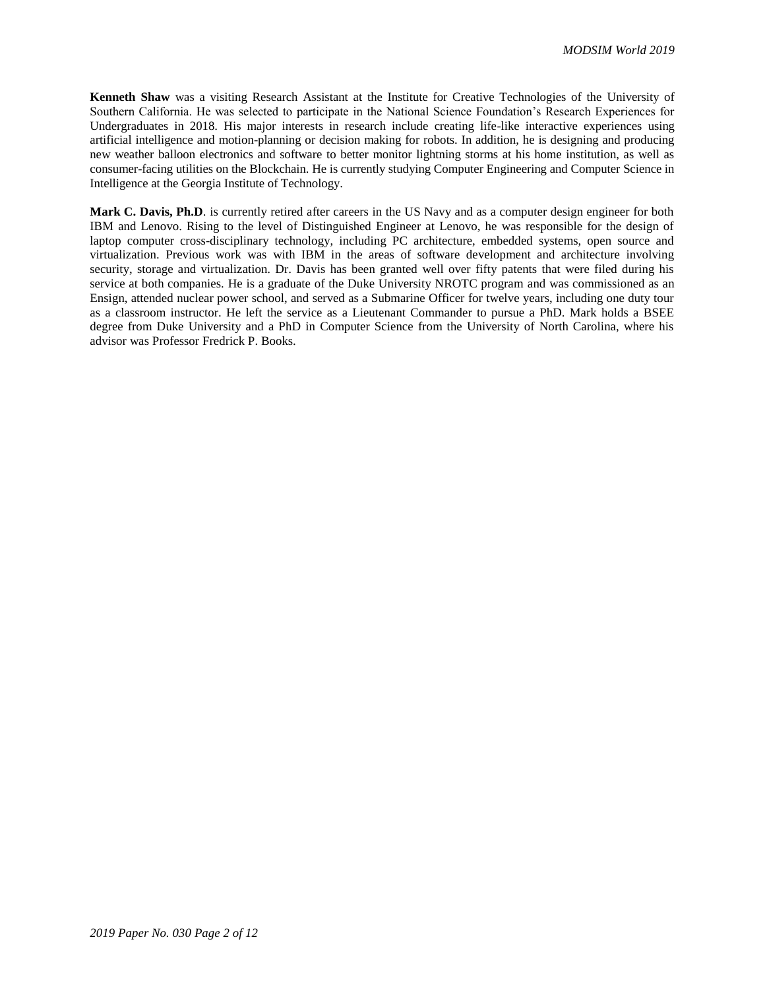**Kenneth Shaw** was a visiting Research Assistant at the Institute for Creative Technologies of the University of Southern California. He was selected to participate in the National Science Foundation's Research Experiences for Undergraduates in 2018. His major interests in research include creating life-like interactive experiences using artificial intelligence and motion-planning or decision making for robots. In addition, he is designing and producing new weather balloon electronics and software to better monitor lightning storms at his home institution, as well as consumer-facing utilities on the Blockchain. He is currently studying Computer Engineering and Computer Science in Intelligence at the Georgia Institute of Technology.

**Mark C. Davis, Ph.D**. is currently retired after careers in the US Navy and as a computer design engineer for both IBM and Lenovo. Rising to the level of Distinguished Engineer at Lenovo, he was responsible for the design of laptop computer cross-disciplinary technology, including PC architecture, embedded systems, open source and virtualization. Previous work was with IBM in the areas of software development and architecture involving security, storage and virtualization. Dr. Davis has been granted well over fifty patents that were filed during his service at both companies. He is a graduate of the Duke University NROTC program and was commissioned as an Ensign, attended nuclear power school, and served as a Submarine Officer for twelve years, including one duty tour as a classroom instructor. He left the service as a Lieutenant Commander to pursue a PhD. Mark holds a BSEE degree from Duke University and a PhD in Computer Science from the University of North Carolina, where his advisor was Professor Fredrick P. Books.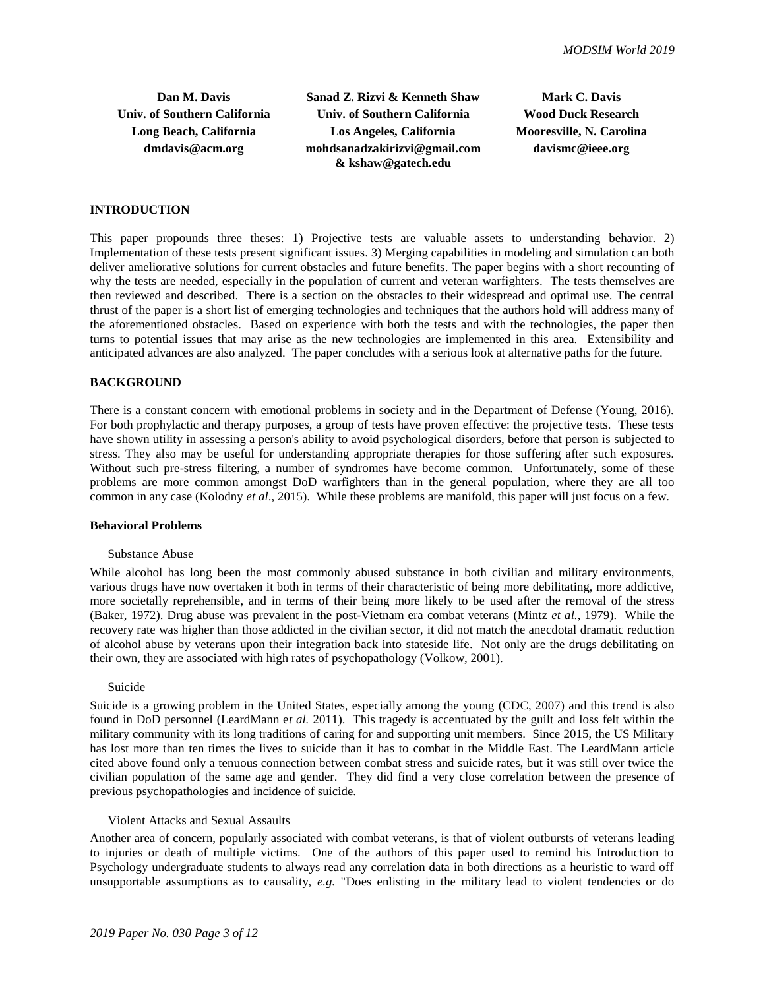**Dan M. Davis Sanad Z. Rizvi & Kenneth Shaw Mark C. Davis Univ. of Southern California Univ. of Southern California Wood Duck Research Long Beach, California Los Angeles, California Mooresville, N. Carolina dmdavis@acm.org mohdsanadzakirizvi@gmail.com & kshaw@gatech.edu**

**davismc@ieee.org**

### **INTRODUCTION**

This paper propounds three theses: 1) Projective tests are valuable assets to understanding behavior. 2) Implementation of these tests present significant issues. 3) Merging capabilities in modeling and simulation can both deliver ameliorative solutions for current obstacles and future benefits. The paper begins with a short recounting of why the tests are needed, especially in the population of current and veteran warfighters. The tests themselves are then reviewed and described. There is a section on the obstacles to their widespread and optimal use. The central thrust of the paper is a short list of emerging technologies and techniques that the authors hold will address many of the aforementioned obstacles. Based on experience with both the tests and with the technologies, the paper then turns to potential issues that may arise as the new technologies are implemented in this area. Extensibility and anticipated advances are also analyzed. The paper concludes with a serious look at alternative paths for the future.

### **BACKGROUND**

There is a constant concern with emotional problems in society and in the Department of Defense (Young, 2016). For both prophylactic and therapy purposes, a group of tests have proven effective: the projective tests. These tests have shown utility in assessing a person's ability to avoid psychological disorders, before that person is subjected to stress. They also may be useful for understanding appropriate therapies for those suffering after such exposures. Without such pre-stress filtering, a number of syndromes have become common. Unfortunately, some of these problems are more common amongst DoD warfighters than in the general population, where they are all too common in any case (Kolodny *et al*., 2015). While these problems are manifold, this paper will just focus on a few.

### **Behavioral Problems**

#### Substance Abuse

While alcohol has long been the most commonly abused substance in both civilian and military environments, various drugs have now overtaken it both in terms of their characteristic of being more debilitating, more addictive, more societally reprehensible, and in terms of their being more likely to be used after the removal of the stress (Baker, 1972). Drug abuse was prevalent in the post-Vietnam era combat veterans (Mintz *et al.*, 1979). While the recovery rate was higher than those addicted in the civilian sector, it did not match the anecdotal dramatic reduction of alcohol abuse by veterans upon their integration back into stateside life. Not only are the drugs debilitating on their own, they are associated with high rates of psychopathology (Volkow, 2001).

#### Suicide

Suicide is a growing problem in the United States, especially among the young (CDC, 2007) and this trend is also found in DoD personnel (LeardMann e*t al.* 2011). This tragedy is accentuated by the guilt and loss felt within the military community with its long traditions of caring for and supporting unit members. Since 2015, the US Military has lost more than ten times the lives to suicide than it has to combat in the Middle East. The LeardMann article cited above found only a tenuous connection between combat stress and suicide rates, but it was still over twice the civilian population of the same age and gender. They did find a very close correlation between the presence of previous psychopathologies and incidence of suicide.

#### Violent Attacks and Sexual Assaults

Another area of concern, popularly associated with combat veterans, is that of violent outbursts of veterans leading to injuries or death of multiple victims. One of the authors of this paper used to remind his Introduction to Psychology undergraduate students to always read any correlation data in both directions as a heuristic to ward off unsupportable assumptions as to causality, *e.g.* "Does enlisting in the military lead to violent tendencies or do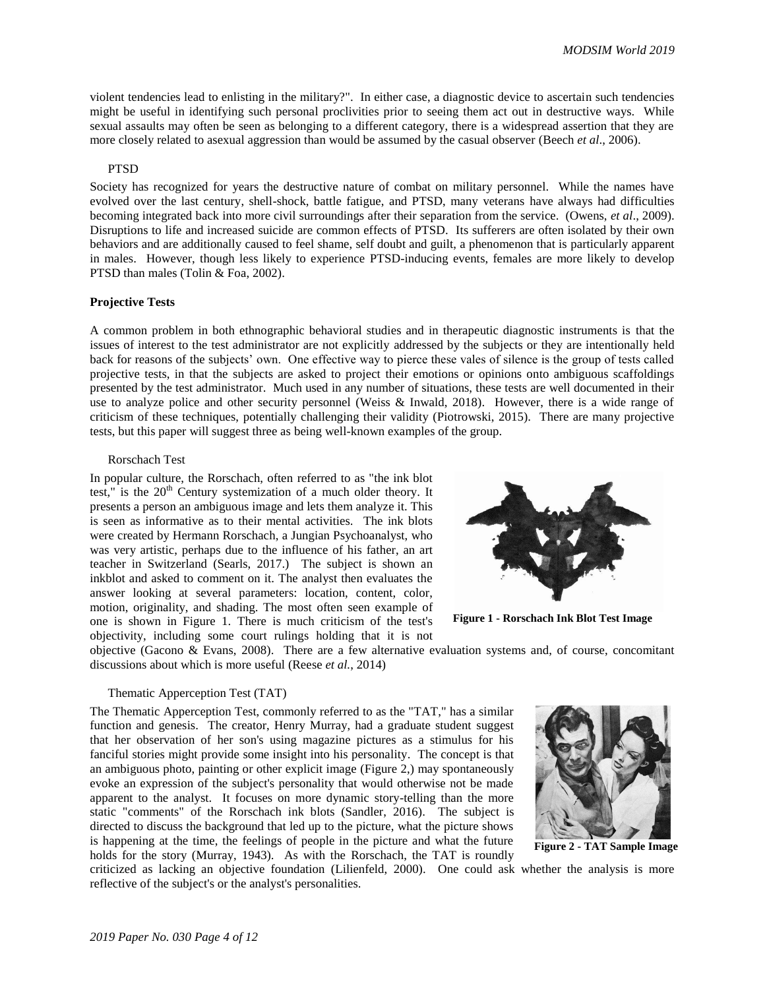violent tendencies lead to enlisting in the military?". In either case, a diagnostic device to ascertain such tendencies might be useful in identifying such personal proclivities prior to seeing them act out in destructive ways. While sexual assaults may often be seen as belonging to a different category, there is a widespread assertion that they are more closely related to asexual aggression than would be assumed by the casual observer (Beech *et al*., 2006).

### PTSD

Society has recognized for years the destructive nature of combat on military personnel. While the names have evolved over the last century, shell-shock, battle fatigue, and PTSD, many veterans have always had difficulties becoming integrated back into more civil surroundings after their separation from the service. (Owens, *et al*., 2009). Disruptions to life and increased suicide are common effects of PTSD. Its sufferers are often isolated by their own behaviors and are additionally caused to feel shame, self doubt and guilt, a phenomenon that is particularly apparent in males. However, though less likely to experience PTSD-inducing events, females are more likely to develop PTSD than males (Tolin & Foa, 2002).

#### **Projective Tests**

A common problem in both ethnographic behavioral studies and in therapeutic diagnostic instruments is that the issues of interest to the test administrator are not explicitly addressed by the subjects or they are intentionally held back for reasons of the subjects' own. One effective way to pierce these vales of silence is the group of tests called projective tests, in that the subjects are asked to project their emotions or opinions onto ambiguous scaffoldings presented by the test administrator. Much used in any number of situations, these tests are well documented in their use to analyze police and other security personnel (Weiss & Inwald, 2018). However, there is a wide range of criticism of these techniques, potentially challenging their validity (Piotrowski, 2015). There are many projective tests, but this paper will suggest three as being well-known examples of the group.

### Rorschach Test

In popular culture, the Rorschach, often referred to as "the ink blot test," is the  $20<sup>th</sup>$  Century systemization of a much older theory. It presents a person an ambiguous image and lets them analyze it. This is seen as informative as to their mental activities. The ink blots were created by Hermann Rorschach, a Jungian Psychoanalyst, who was very artistic, perhaps due to the influence of his father, an art teacher in Switzerland (Searls, 2017.) The subject is shown an inkblot and asked to comment on it. The analyst then evaluates the answer looking at several parameters: location, content, color, motion, originality, and shading. The most often seen example of one is shown in [Figure 1.](#page-3-0) There is much criticism of the test's objectivity, including some court rulings holding that it is not



<span id="page-3-0"></span>**Figure 1 - Rorschach Ink Blot Test Image**

objective (Gacono & Evans, 2008). There are a few alternative evaluation systems and, of course, concomitant discussions about which is more useful (Reese *et al.*, 2014)

#### Thematic Apperception Test (TAT)

The Thematic Apperception Test, commonly referred to as the "TAT," has a similar function and genesis. The creator, Henry Murray, had a graduate student suggest that her observation of her son's using magazine pictures as a stimulus for his fanciful stories might provide some insight into his personality. The concept is that an ambiguous photo, painting or other explicit image [\(Figure 2,](#page-3-1)) may spontaneously evoke an expression of the subject's personality that would otherwise not be made apparent to the analyst. It focuses on more dynamic story-telling than the more static "comments" of the Rorschach ink blots (Sandler, 2016). The subject is directed to discuss the background that led up to the picture, what the picture shows is happening at the time, the feelings of people in the picture and what the future holds for the story (Murray, 1943). As with the Rorschach, the TAT is roundly

<span id="page-3-1"></span>

**Figure 2 - TAT Sample Image**

criticized as lacking an objective foundation (Lilienfeld, 2000). One could ask whether the analysis is more reflective of the subject's or the analyst's personalities.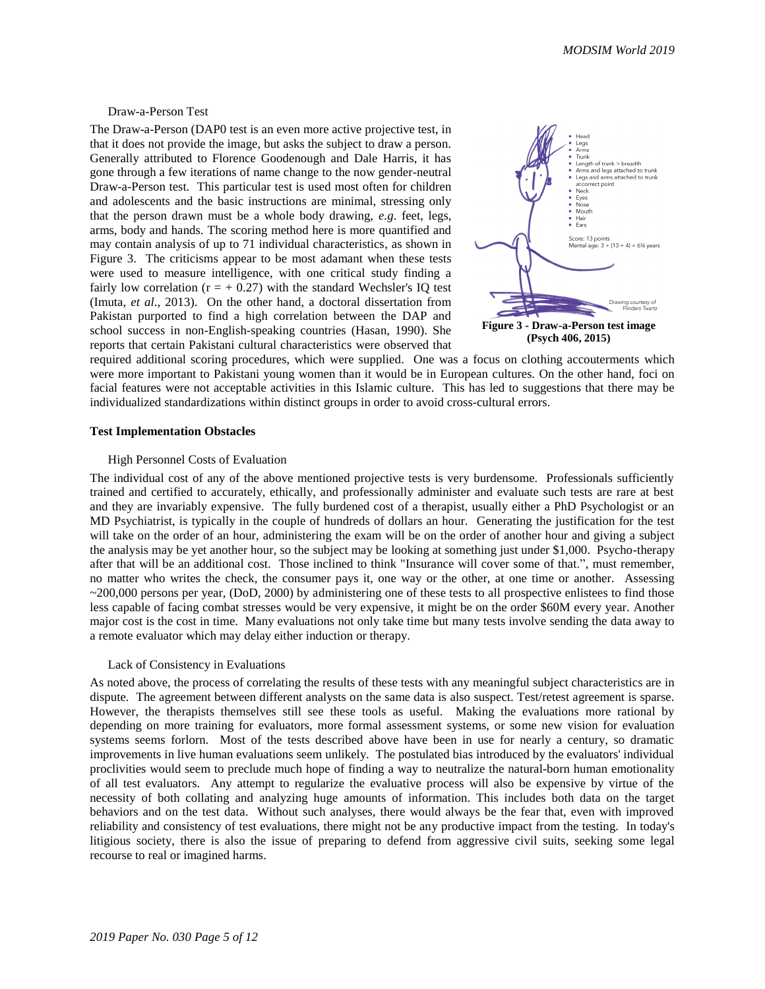Draw-a-Person Test

The Draw-a-Person (DAP0 test is an even more active projective test, in that it does not provide the image, but asks the subject to draw a person. Generally attributed to Florence Goodenough and Dale Harris, it has gone through a few iterations of name change to the now gender-neutral Draw-a-Person test. This particular test is used most often for children and adolescents and the basic instructions are minimal, stressing only that the person drawn must be a whole body drawing, *e.g*. feet, legs, arms, body and hands. The scoring method here is more quantified and may contain analysis of up to 71 individual characteristics, as shown in [Figure 3.](#page-4-0) The criticisms appear to be most adamant when these tests were used to measure intelligence, with one critical study finding a fairly low correlation ( $r = +0.27$ ) with the standard Wechsler's IQ test (Imuta, *et al*., 2013). On the other hand, a doctoral dissertation from Pakistan purported to find a high correlation between the DAP and school success in non-English-speaking countries (Hasan, 1990). She reports that certain Pakistani cultural characteristics were observed that

<span id="page-4-0"></span>

required additional scoring procedures, which were supplied. One was a focus on clothing accouterments which were more important to Pakistani young women than it would be in European cultures. On the other hand, foci on facial features were not acceptable activities in this Islamic culture. This has led to suggestions that there may be individualized standardizations within distinct groups in order to avoid cross-cultural errors.

#### **Test Implementation Obstacles**

### High Personnel Costs of Evaluation

The individual cost of any of the above mentioned projective tests is very burdensome. Professionals sufficiently trained and certified to accurately, ethically, and professionally administer and evaluate such tests are rare at best and they are invariably expensive. The fully burdened cost of a therapist, usually either a PhD Psychologist or an MD Psychiatrist, is typically in the couple of hundreds of dollars an hour. Generating the justification for the test will take on the order of an hour, administering the exam will be on the order of another hour and giving a subject the analysis may be yet another hour, so the subject may be looking at something just under \$1,000. Psycho-therapy after that will be an additional cost. Those inclined to think "Insurance will cover some of that.", must remember, no matter who writes the check, the consumer pays it, one way or the other, at one time or another. Assessing  $\sim$ 200,000 persons per year, (DoD, 2000) by administering one of these tests to all prospective enlistees to find those less capable of facing combat stresses would be very expensive, it might be on the order \$60M every year. Another major cost is the cost in time. Many evaluations not only take time but many tests involve sending the data away to a remote evaluator which may delay either induction or therapy.

#### Lack of Consistency in Evaluations

As noted above, the process of correlating the results of these tests with any meaningful subject characteristics are in dispute. The agreement between different analysts on the same data is also suspect. Test/retest agreement is sparse. However, the therapists themselves still see these tools as useful. Making the evaluations more rational by depending on more training for evaluators, more formal assessment systems, or some new vision for evaluation systems seems forlorn. Most of the tests described above have been in use for nearly a century, so dramatic improvements in live human evaluations seem unlikely. The postulated bias introduced by the evaluators' individual proclivities would seem to preclude much hope of finding a way to neutralize the natural-born human emotionality of all test evaluators. Any attempt to regularize the evaluative process will also be expensive by virtue of the necessity of both collating and analyzing huge amounts of information. This includes both data on the target behaviors and on the test data. Without such analyses, there would always be the fear that, even with improved reliability and consistency of test evaluations, there might not be any productive impact from the testing. In today's litigious society, there is also the issue of preparing to defend from aggressive civil suits, seeking some legal recourse to real or imagined harms.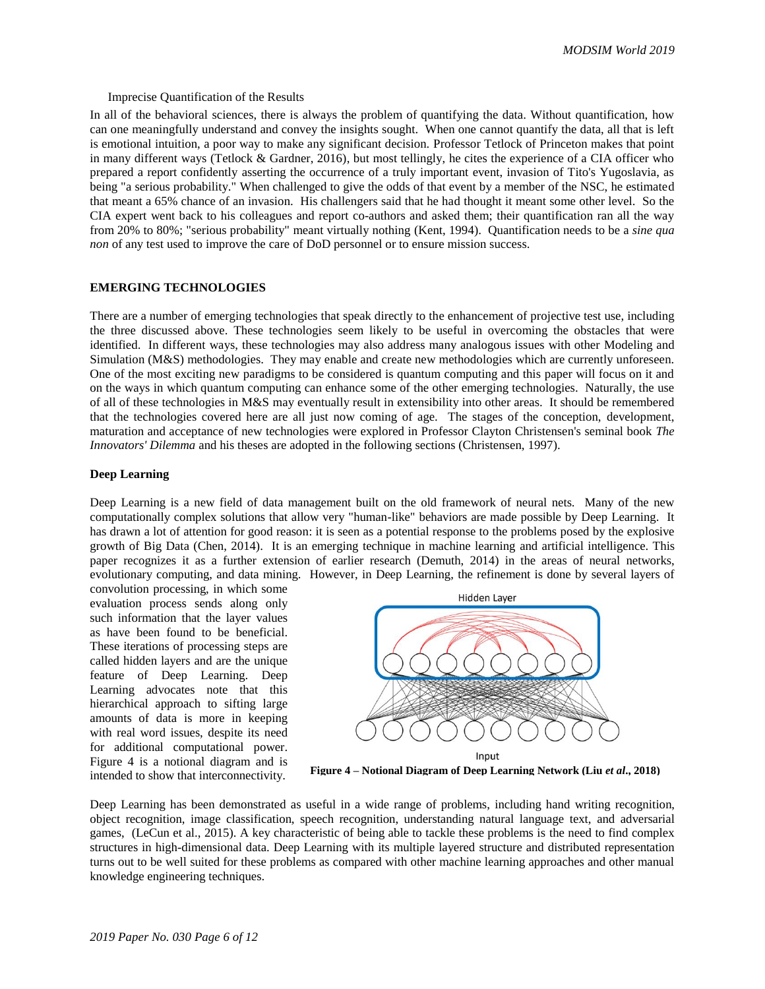*MODSIM World 2019*

#### Imprecise Quantification of the Results

In all of the behavioral sciences, there is always the problem of quantifying the data. Without quantification, how can one meaningfully understand and convey the insights sought. When one cannot quantify the data, all that is left is emotional intuition, a poor way to make any significant decision. Professor Tetlock of Princeton makes that point in many different ways (Tetlock & Gardner, 2016), but most tellingly, he cites the experience of a CIA officer who prepared a report confidently asserting the occurrence of a truly important event, invasion of Tito's Yugoslavia, as being "a serious probability." When challenged to give the odds of that event by a member of the NSC, he estimated that meant a 65% chance of an invasion. His challengers said that he had thought it meant some other level. So the CIA expert went back to his colleagues and report co-authors and asked them; their quantification ran all the way from 20% to 80%; "serious probability" meant virtually nothing (Kent, 1994). Quantification needs to be a *sine qua non* of any test used to improve the care of DoD personnel or to ensure mission success.

### **EMERGING TECHNOLOGIES**

There are a number of emerging technologies that speak directly to the enhancement of projective test use, including the three discussed above. These technologies seem likely to be useful in overcoming the obstacles that were identified. In different ways, these technologies may also address many analogous issues with other Modeling and Simulation (M&S) methodologies. They may enable and create new methodologies which are currently unforeseen. One of the most exciting new paradigms to be considered is quantum computing and this paper will focus on it and on the ways in which quantum computing can enhance some of the other emerging technologies. Naturally, the use of all of these technologies in M&S may eventually result in extensibility into other areas. It should be remembered that the technologies covered here are all just now coming of age. The stages of the conception, development, maturation and acceptance of new technologies were explored in Professor Clayton Christensen's seminal book *The Innovators' Dilemma* and his theses are adopted in the following sections (Christensen, 1997).

#### **Deep Learning**

Deep Learning is a new field of data management built on the old framework of neural nets. Many of the new computationally complex solutions that allow very "human-like" behaviors are made possible by Deep Learning. It has drawn a lot of attention for good reason: it is seen as a potential response to the problems posed by the explosive growth of Big Data (Chen, 2014). It is an emerging technique in machine learning and artificial intelligence. This paper recognizes it as a further extension of earlier research (Demuth, 2014) in the areas of neural networks, evolutionary computing, and data mining. However, in Deep Learning, the refinement is done by several layers of

convolution processing, in which some evaluation process sends along only such information that the layer values as have been found to be beneficial. These iterations of processing steps are called hidden layers and are the unique feature of Deep Learning. Deep Learning advocates note that this hierarchical approach to sifting large amounts of data is more in keeping with real word issues, despite its need for additional computational power. [Figure 4](#page-5-0) is a notional diagram and is intended to show that interconnectivity.



<span id="page-5-0"></span>**Figure 4 – Notional Diagram of Deep Learning Network (Liu** *et al***., 2018)**

Deep Learning has been demonstrated as useful in a wide range of problems, including hand writing recognition, object recognition, image classification, speech recognition, understanding natural language text, and adversarial games, (LeCun et al., 2015). A key characteristic of being able to tackle these problems is the need to find complex structures in high-dimensional data. Deep Learning with its multiple layered structure and distributed representation turns out to be well suited for these problems as compared with other machine learning approaches and other manual knowledge engineering techniques.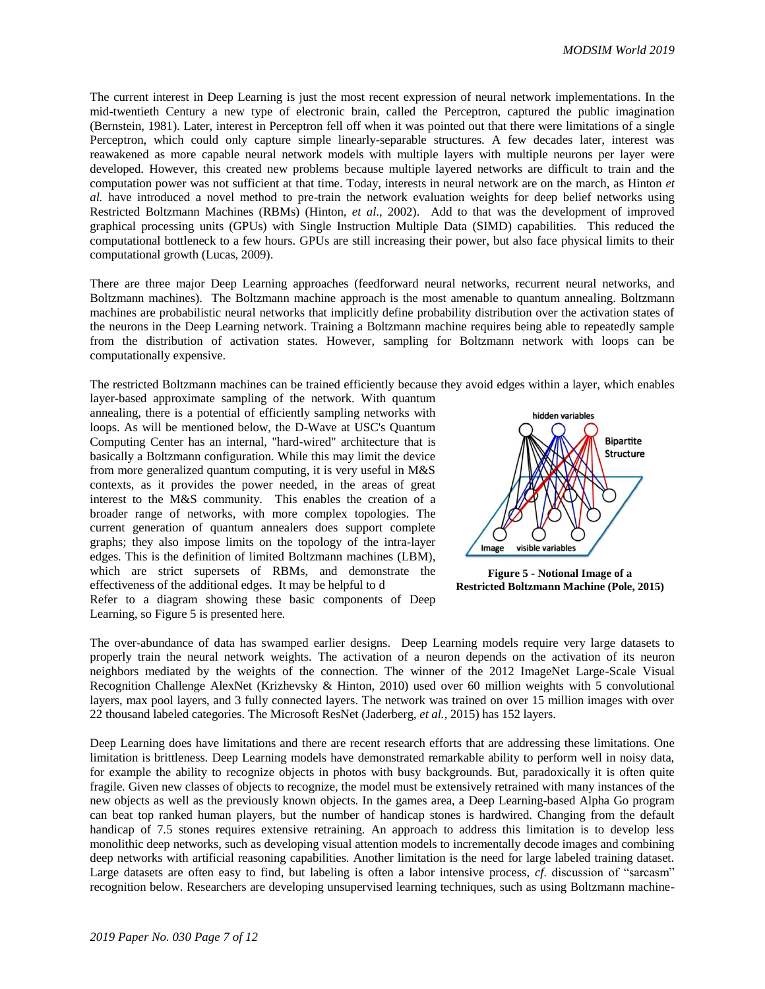The current interest in Deep Learning is just the most recent expression of neural network implementations. In the mid-twentieth Century a new type of electronic brain, called the Perceptron, captured the public imagination (Bernstein, 1981). Later, interest in Perceptron fell off when it was pointed out that there were limitations of a single Perceptron, which could only capture simple linearly-separable structures. A few decades later, interest was reawakened as more capable neural network models with multiple layers with multiple neurons per layer were developed. However, this created new problems because multiple layered networks are difficult to train and the computation power was not sufficient at that time. Today, interests in neural network are on the march, as Hinton *et al.* have introduced a novel method to pre-train the network evaluation weights for deep belief networks using Restricted Boltzmann Machines (RBMs) (Hinton, *et al*., 2002). Add to that was the development of improved graphical processing units (GPUs) with Single Instruction Multiple Data (SIMD) capabilities. This reduced the computational bottleneck to a few hours. GPUs are still increasing their power, but also face physical limits to their computational growth (Lucas, 2009).

There are three major Deep Learning approaches (feedforward neural networks, recurrent neural networks, and Boltzmann machines). The Boltzmann machine approach is the most amenable to quantum annealing. Boltzmann machines are probabilistic neural networks that implicitly define probability distribution over the activation states of the neurons in the Deep Learning network. Training a Boltzmann machine requires being able to repeatedly sample from the distribution of activation states. However, sampling for Boltzmann network with loops can be computationally expensive.

The restricted Boltzmann machines can be trained efficiently because they avoid edges within a layer, which enables

layer-based approximate sampling of the network. With quantum annealing, there is a potential of efficiently sampling networks with loops. As will be mentioned below, the D-Wave at USC's Quantum Computing Center has an internal, "hard-wired" architecture that is basically a Boltzmann configuration. While this may limit the device from more generalized quantum computing, it is very useful in M&S contexts, as it provides the power needed, in the areas of great interest to the M&S community. This enables the creation of a broader range of networks, with more complex topologies. The current generation of quantum annealers does support complete graphs; they also impose limits on the topology of the intra-layer edges. This is the definition of limited Boltzmann machines (LBM), which are strict supersets of RBMs, and demonstrate the effectiveness of the additional edges. It may be helpful to d Refer to a diagram showing these basic components of Deep



<span id="page-6-0"></span>**Figure 5 - Notional Image of a Restricted Boltzmann Machine (Pole, 2015)**

The over-abundance of data has swamped earlier designs. Deep Learning models require very large datasets to properly train the neural network weights. The activation of a neuron depends on the activation of its neuron neighbors mediated by the weights of the connection. The winner of the 2012 ImageNet Large-Scale Visual Recognition Challenge AlexNet (Krizhevsky & Hinton, 2010) used over 60 million weights with 5 convolutional layers, max pool layers, and 3 fully connected layers. The network was trained on over 15 million images with over 22 thousand labeled categories. The Microsoft ResNet (Jaderberg, *et al.*, 2015) has 152 layers.

Deep Learning does have limitations and there are recent research efforts that are addressing these limitations. One limitation is brittleness. Deep Learning models have demonstrated remarkable ability to perform well in noisy data, for example the ability to recognize objects in photos with busy backgrounds. But, paradoxically it is often quite fragile. Given new classes of objects to recognize, the model must be extensively retrained with many instances of the new objects as well as the previously known objects. In the games area, a Deep Learning-based Alpha Go program can beat top ranked human players, but the number of handicap stones is hardwired. Changing from the default handicap of 7.5 stones requires extensive retraining. An approach to address this limitation is to develop less monolithic deep networks, such as developing visual attention models to incrementally decode images and combining deep networks with artificial reasoning capabilities. Another limitation is the need for large labeled training dataset. Large datasets are often easy to find, but labeling is often a labor intensive process, *cf*. discussion of "sarcasm" recognition below. Researchers are developing unsupervised learning techniques, such as using Boltzmann machine-

Learning, so [Figure 5](#page-6-0) is presented here.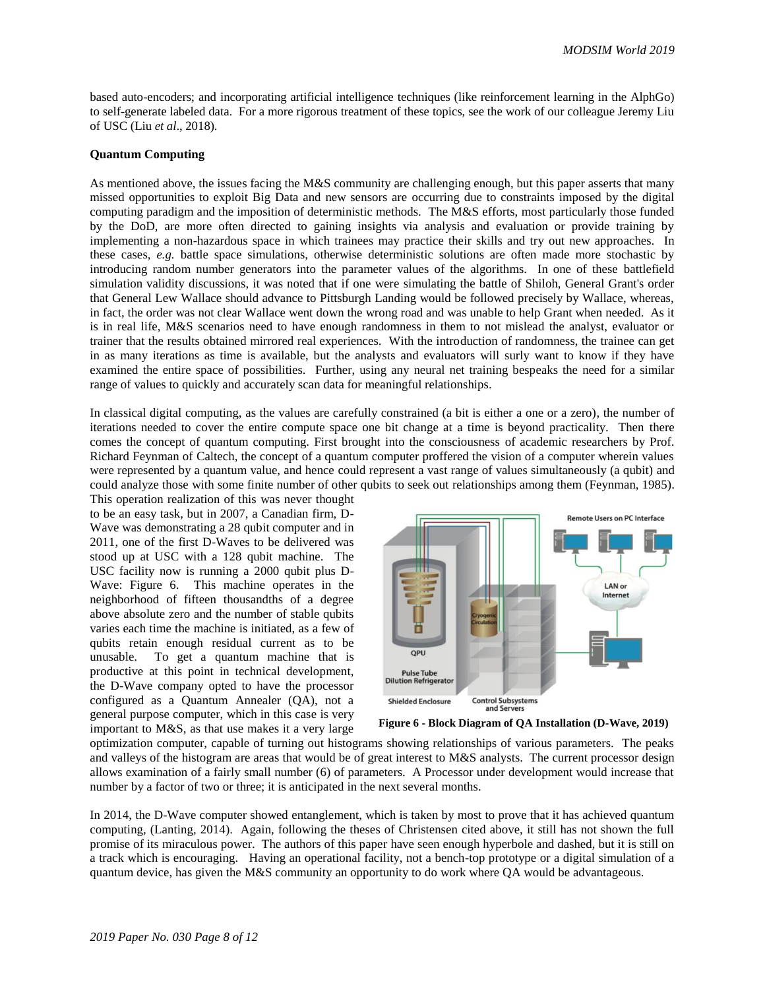based auto-encoders; and incorporating artificial intelligence techniques (like reinforcement learning in the AlphGo) to self-generate labeled data. For a more rigorous treatment of these topics, see the work of our colleague Jeremy Liu of USC (Liu *et al*., 2018).

### **Quantum Computing**

As mentioned above, the issues facing the M&S community are challenging enough, but this paper asserts that many missed opportunities to exploit Big Data and new sensors are occurring due to constraints imposed by the digital computing paradigm and the imposition of deterministic methods. The M&S efforts, most particularly those funded by the DoD, are more often directed to gaining insights via analysis and evaluation or provide training by implementing a non-hazardous space in which trainees may practice their skills and try out new approaches. In these cases, *e.g.* battle space simulations, otherwise deterministic solutions are often made more stochastic by introducing random number generators into the parameter values of the algorithms. In one of these battlefield simulation validity discussions, it was noted that if one were simulating the battle of Shiloh, General Grant's order that General Lew Wallace should advance to Pittsburgh Landing would be followed precisely by Wallace, whereas, in fact, the order was not clear Wallace went down the wrong road and was unable to help Grant when needed. As it is in real life, M&S scenarios need to have enough randomness in them to not mislead the analyst, evaluator or trainer that the results obtained mirrored real experiences. With the introduction of randomness, the trainee can get in as many iterations as time is available, but the analysts and evaluators will surly want to know if they have examined the entire space of possibilities. Further, using any neural net training bespeaks the need for a similar range of values to quickly and accurately scan data for meaningful relationships.

In classical digital computing, as the values are carefully constrained (a bit is either a one or a zero), the number of iterations needed to cover the entire compute space one bit change at a time is beyond practicality. Then there comes the concept of quantum computing. First brought into the consciousness of academic researchers by Prof. Richard Feynman of Caltech, the concept of a quantum computer proffered the vision of a computer wherein values were represented by a quantum value, and hence could represent a vast range of values simultaneously (a qubit) and could analyze those with some finite number of other qubits to seek out relationships among them (Feynman, 1985).

This operation realization of this was never thought to be an easy task, but in 2007, a Canadian firm, D-Wave was demonstrating a 28 qubit computer and in 2011, one of the first D-Waves to be delivered was stood up at USC with a 128 qubit machine. The USC facility now is running a 2000 qubit plus D-Wave: [Figure 6.](#page-7-0) This machine operates in the neighborhood of fifteen thousandths of a degree above absolute zero and the number of stable qubits varies each time the machine is initiated, as a few of qubits retain enough residual current as to be unusable. To get a quantum machine that is productive at this point in technical development, the D-Wave company opted to have the processor configured as a Quantum Annealer (QA), not a general purpose computer, which in this case is very important to M&S, as that use makes it a very large



<span id="page-7-0"></span>

optimization computer, capable of turning out histograms showing relationships of various parameters. The peaks and valleys of the histogram are areas that would be of great interest to M&S analysts. The current processor design allows examination of a fairly small number (6) of parameters. A Processor under development would increase that number by a factor of two or three; it is anticipated in the next several months.

In 2014, the D-Wave computer showed entanglement, which is taken by most to prove that it has achieved quantum computing, (Lanting, 2014). Again, following the theses of Christensen cited above, it still has not shown the full promise of its miraculous power. The authors of this paper have seen enough hyperbole and dashed, but it is still on a track which is encouraging. Having an operational facility, not a bench-top prototype or a digital simulation of a quantum device, has given the M&S community an opportunity to do work where QA would be advantageous.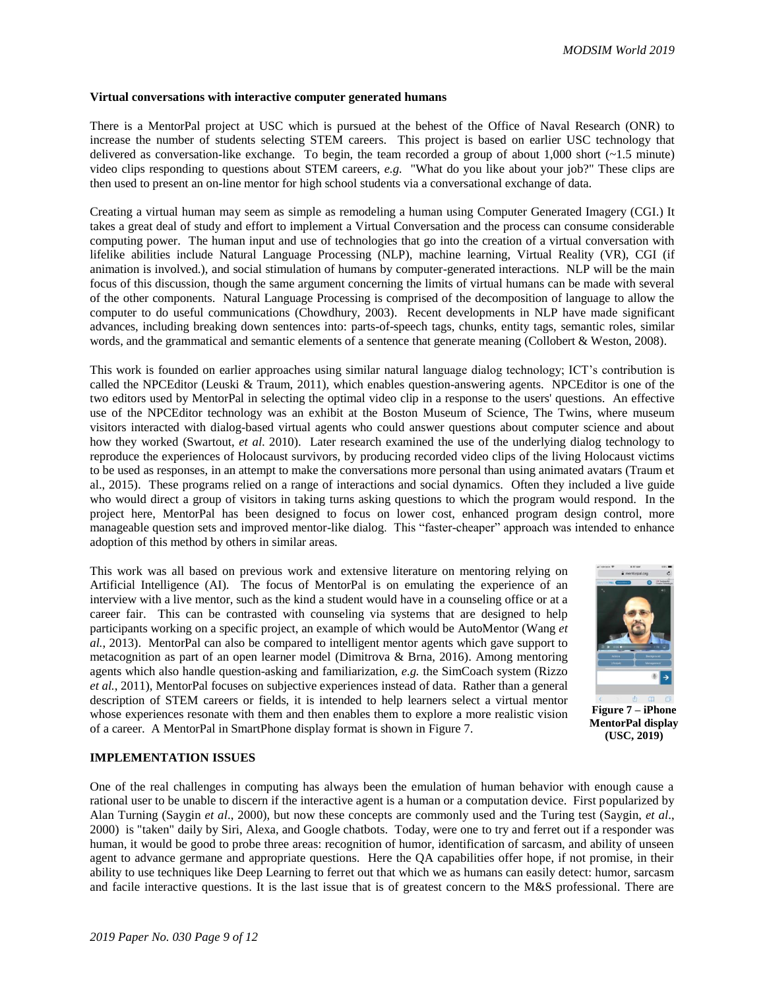### **Virtual conversations with interactive computer generated humans**

There is a MentorPal project at USC which is pursued at the behest of the Office of Naval Research (ONR) to increase the number of students selecting STEM careers. This project is based on earlier USC technology that delivered as conversation-like exchange. To begin, the team recorded a group of about  $1,000$  short ( $\sim$ 1.5 minute) video clips responding to questions about STEM careers, *e.g.* "What do you like about your job?" These clips are then used to present an on-line mentor for high school students via a conversational exchange of data.

Creating a virtual human may seem as simple as remodeling a human using Computer Generated Imagery (CGI.) It takes a great deal of study and effort to implement a Virtual Conversation and the process can consume considerable computing power. The human input and use of technologies that go into the creation of a virtual conversation with lifelike abilities include Natural Language Processing (NLP), machine learning, Virtual Reality (VR), CGI (if animation is involved.), and social stimulation of humans by computer-generated interactions. NLP will be the main focus of this discussion, though the same argument concerning the limits of virtual humans can be made with several of the other components. Natural Language Processing is comprised of the decomposition of language to allow the computer to do useful communications (Chowdhury, 2003). Recent developments in NLP have made significant advances, including breaking down sentences into: parts-of-speech tags, chunks, entity tags, semantic roles, similar words, and the grammatical and semantic elements of a sentence that generate meaning (Collobert & Weston, 2008).

This work is founded on earlier approaches using similar natural language dialog technology; ICT's contribution is called the NPCEditor (Leuski & Traum, 2011), which enables question-answering agents. NPCEditor is one of the two editors used by MentorPal in selecting the optimal video clip in a response to the users' questions. An effective use of the NPCEditor technology was an exhibit at the Boston Museum of Science, The Twins, where museum visitors interacted with dialog-based virtual agents who could answer questions about computer science and about how they worked (Swartout, *et al*. 2010). Later research examined the use of the underlying dialog technology to reproduce the experiences of Holocaust survivors, by producing recorded video clips of the living Holocaust victims to be used as responses, in an attempt to make the conversations more personal than using animated avatars (Traum et al., 2015). These programs relied on a range of interactions and social dynamics. Often they included a live guide who would direct a group of visitors in taking turns asking questions to which the program would respond. In the project here, MentorPal has been designed to focus on lower cost, enhanced program design control, more manageable question sets and improved mentor-like dialog. This "faster-cheaper" approach was intended to enhance adoption of this method by others in similar areas.

This work was all based on previous work and extensive literature on mentoring relying on Artificial Intelligence (AI). The focus of MentorPal is on emulating the experience of an interview with a live mentor, such as the kind a student would have in a counseling office or at a career fair. This can be contrasted with counseling via systems that are designed to help participants working on a specific project, an example of which would be AutoMentor (Wang *et al.*, 2013). MentorPal can also be compared to intelligent mentor agents which gave support to metacognition as part of an open learner model (Dimitrova & Brna, 2016). Among mentoring agents which also handle question-asking and familiarization, *e.g.* the SimCoach system (Rizzo *et al.*, 2011), MentorPal focuses on subjective experiences instead of data. Rather than a general description of STEM careers or fields, it is intended to help learners select a virtual mentor whose experiences resonate with them and then enables them to explore a more realistic vision of a career. A MentorPal in SmartPhone display format is shown in [Figure 7.](#page-8-0)

<span id="page-8-0"></span>

**Figure 7 – iPhone MentorPal display (USC, 2019)**

### **IMPLEMENTATION ISSUES**

One of the real challenges in computing has always been the emulation of human behavior with enough cause a rational user to be unable to discern if the interactive agent is a human or a computation device. First popularized by Alan Turning (Saygin *et al*., 2000), but now these concepts are commonly used and the Turing test (Saygin, *et al*., 2000) is "taken" daily by Siri, Alexa, and Google chatbots. Today, were one to try and ferret out if a responder was human, it would be good to probe three areas: recognition of humor, identification of sarcasm, and ability of unseen agent to advance germane and appropriate questions. Here the QA capabilities offer hope, if not promise, in their ability to use techniques like Deep Learning to ferret out that which we as humans can easily detect: humor, sarcasm and facile interactive questions. It is the last issue that is of greatest concern to the M&S professional. There are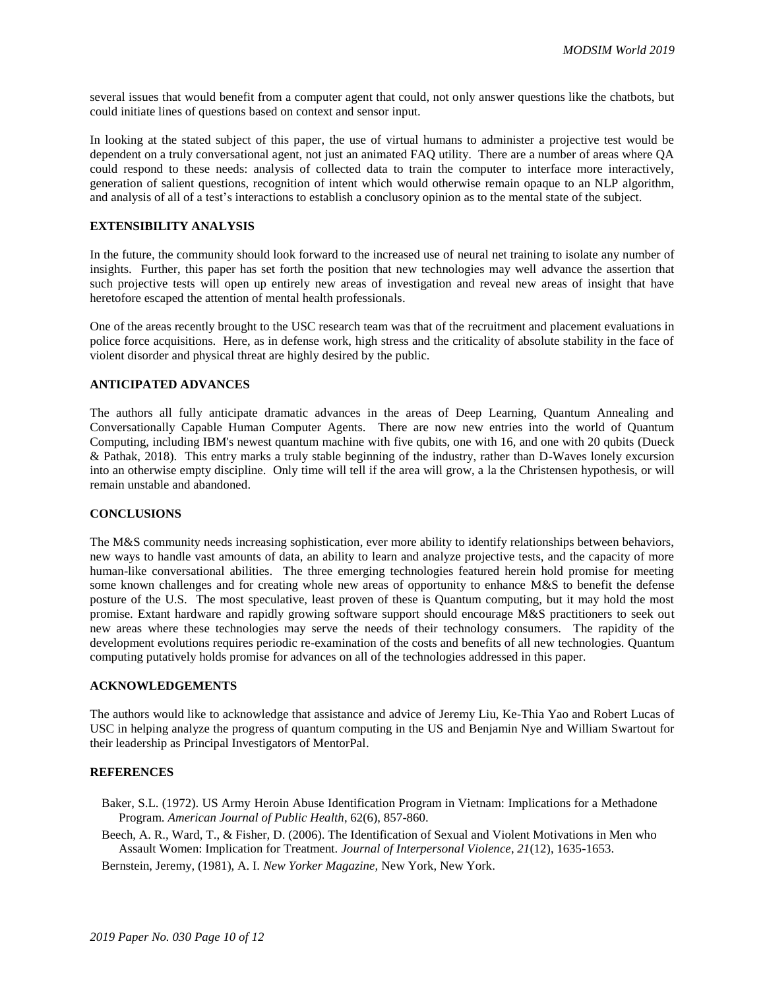several issues that would benefit from a computer agent that could, not only answer questions like the chatbots, but could initiate lines of questions based on context and sensor input.

In looking at the stated subject of this paper, the use of virtual humans to administer a projective test would be dependent on a truly conversational agent, not just an animated FAQ utility. There are a number of areas where QA could respond to these needs: analysis of collected data to train the computer to interface more interactively, generation of salient questions, recognition of intent which would otherwise remain opaque to an NLP algorithm, and analysis of all of a test's interactions to establish a conclusory opinion as to the mental state of the subject.

## **EXTENSIBILITY ANALYSIS**

In the future, the community should look forward to the increased use of neural net training to isolate any number of insights. Further, this paper has set forth the position that new technologies may well advance the assertion that such projective tests will open up entirely new areas of investigation and reveal new areas of insight that have heretofore escaped the attention of mental health professionals.

One of the areas recently brought to the USC research team was that of the recruitment and placement evaluations in police force acquisitions. Here, as in defense work, high stress and the criticality of absolute stability in the face of violent disorder and physical threat are highly desired by the public.

### **ANTICIPATED ADVANCES**

The authors all fully anticipate dramatic advances in the areas of Deep Learning, Quantum Annealing and Conversationally Capable Human Computer Agents. There are now new entries into the world of Quantum Computing, including IBM's newest quantum machine with five qubits, one with 16, and one with 20 qubits (Dueck & Pathak, 2018). This entry marks a truly stable beginning of the industry, rather than D-Waves lonely excursion into an otherwise empty discipline. Only time will tell if the area will grow, a la the Christensen hypothesis, or will remain unstable and abandoned.

### **CONCLUSIONS**

The M&S community needs increasing sophistication, ever more ability to identify relationships between behaviors, new ways to handle vast amounts of data, an ability to learn and analyze projective tests, and the capacity of more human-like conversational abilities. The three emerging technologies featured herein hold promise for meeting some known challenges and for creating whole new areas of opportunity to enhance M&S to benefit the defense posture of the U.S. The most speculative, least proven of these is Quantum computing, but it may hold the most promise. Extant hardware and rapidly growing software support should encourage M&S practitioners to seek out new areas where these technologies may serve the needs of their technology consumers. The rapidity of the development evolutions requires periodic re-examination of the costs and benefits of all new technologies. Quantum computing putatively holds promise for advances on all of the technologies addressed in this paper.

### **ACKNOWLEDGEMENTS**

The authors would like to acknowledge that assistance and advice of Jeremy Liu, Ke-Thia Yao and Robert Lucas of USC in helping analyze the progress of quantum computing in the US and Benjamin Nye and William Swartout for their leadership as Principal Investigators of MentorPal.

### **REFERENCES**

- Baker, S.L. (1972). US Army Heroin Abuse Identification Program in Vietnam: Implications for a Methadone Program. *American Journal of Public Health*, 62(6), 857-860.
- Beech, A. R., Ward, T., & Fisher, D. (2006). The Identification of Sexual and Violent Motivations in Men who Assault Women: Implication for Treatment. *Journal of Interpersonal Violence*, *21*(12), 1635-1653.
- Bernstein, Jeremy, (1981), A. I. *New Yorker Magazine,* New York, New York.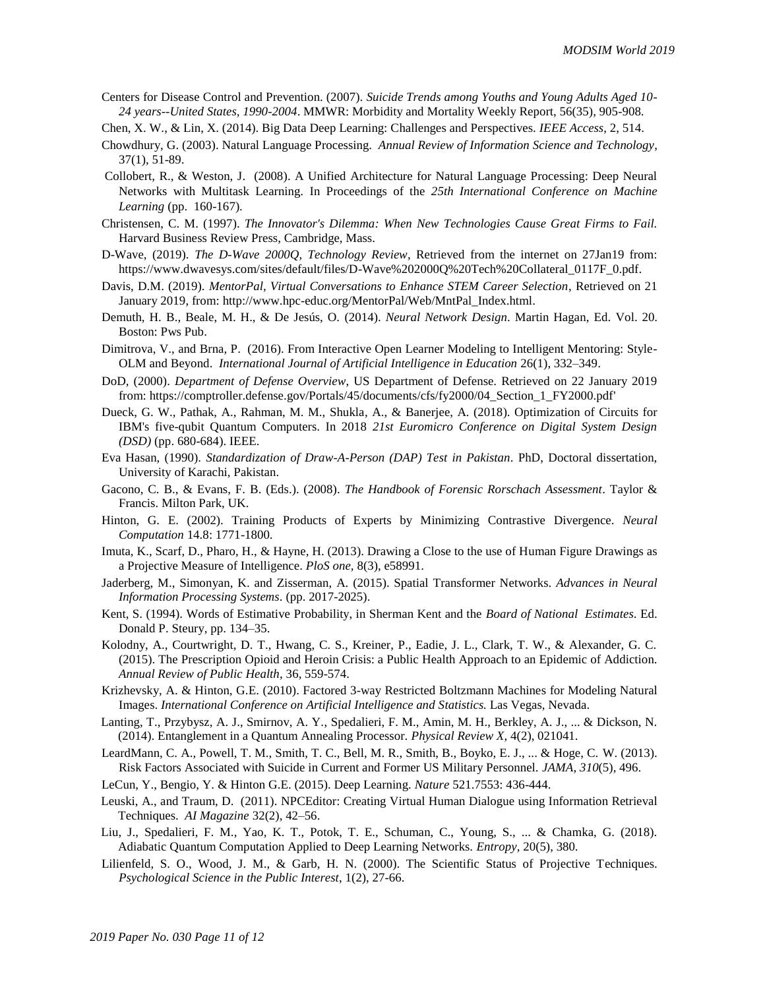- Centers for Disease Control and Prevention. (2007). *Suicide Trends among Youths and Young Adults Aged 10- 24 years--United States, 1990-2004*. MMWR: Morbidity and Mortality Weekly Report, 56(35), 905-908.
- Chen, X. W., & Lin, X. (2014). Big Data Deep Learning: Challenges and Perspectives. *IEEE Access*, 2, 514.
- Chowdhury, G. (2003). Natural Language Processing. *Annual Review of Information Science and Technology*, 37(1), 51-89.
- Collobert, R., & Weston, J. (2008). A Unified Architecture for Natural Language Processing: Deep Neural Networks with Multitask Learning. In Proceedings of the *25th International Conference on Machine Learning* (pp. 160-167).
- Christensen, C. M. (1997). *The Innovator's Dilemma: When New Technologies Cause Great Firms to Fail.* Harvard Business Review Press, Cambridge, Mass.
- D-Wave, (2019). *The D-Wave 2000Q, Technology Review*, Retrieved from the internet on 27Jan19 from: https://www.dwavesys.com/sites/default/files/D-Wave%202000Q%20Tech%20Collateral\_0117F\_0.pdf.
- Davis, D.M. (2019). *MentorPal, Virtual Conversations to Enhance STEM Career Selection*, Retrieved on 21 January 2019, from: http://www.hpc-educ.org/MentorPal/Web/MntPal\_Index.html.
- Demuth, H. B., Beale, M. H., & De Jesús, O. (2014). *Neural Network Design*. Martin Hagan, Ed. Vol. 20. Boston: Pws Pub.
- Dimitrova, V., and Brna, P. (2016). From Interactive Open Learner Modeling to Intelligent Mentoring: Style-OLM and Beyond. *International Journal of Artificial Intelligence in Education* 26(1), 332–349.
- DoD, (2000). *Department of Defense Overview*, US Department of Defense. Retrieved on 22 January 2019 from: https://comptroller.defense.gov/Portals/45/documents/cfs/fy2000/04\_Section\_1\_FY2000.pdf'
- Dueck, G. W., Pathak, A., Rahman, M. M., Shukla, A., & Banerjee, A. (2018). Optimization of Circuits for IBM's five-qubit Quantum Computers. In 2018 *21st Euromicro Conference on Digital System Design (DSD)* (pp. 680-684). IEEE.
- Eva Hasan, (1990). *Standardization of Draw-A-Person (DAP) Test in Pakistan*. PhD, Doctoral dissertation, University of Karachi, Pakistan.
- Gacono, C. B., & Evans, F. B. (Eds.). (2008). *The Handbook of Forensic Rorschach Assessment*. Taylor & Francis. Milton Park, UK.
- Hinton, G. E. (2002). Training Products of Experts by Minimizing Contrastive Divergence. *Neural Computation* 14.8: 1771-1800.
- Imuta, K., Scarf, D., Pharo, H., & Hayne, H. (2013). Drawing a Close to the use of Human Figure Drawings as a Projective Measure of Intelligence. *PloS one,* 8(3), e58991.
- Jaderberg, M., Simonyan, K. and Zisserman, A. (2015). Spatial Transformer Networks. *Advances in Neural Information Processing Systems*. (pp. 2017-2025).
- Kent, S. (1994). Words of Estimative Probability, in Sherman Kent and the *Board of National Estimates*. Ed. Donald P. Steury, pp. 134–35.
- Kolodny, A., Courtwright, D. T., Hwang, C. S., Kreiner, P., Eadie, J. L., Clark, T. W., & Alexander, G. C. (2015). The Prescription Opioid and Heroin Crisis: a Public Health Approach to an Epidemic of Addiction. *Annual Review of Public Health*, 36, 559-574.
- Krizhevsky, A. & Hinton, G.E. (2010). Factored 3-way Restricted Boltzmann Machines for Modeling Natural Images. *International Conference on Artificial Intelligence and Statistics.* Las Vegas, Nevada.
- Lanting, T., Przybysz, A. J., Smirnov, A. Y., Spedalieri, F. M., Amin, M. H., Berkley, A. J., ... & Dickson, N. (2014). Entanglement in a Quantum Annealing Processor. *Physical Review X*, 4(2), 021041.
- LeardMann, C. A., Powell, T. M., Smith, T. C., Bell, M. R., Smith, B., Boyko, E. J., ... & Hoge, C. W. (2013). Risk Factors Associated with Suicide in Current and Former US Military Personnel. *JAMA*, *310*(5), 496.
- LeCun, Y., Bengio, Y. & Hinton G.E. (2015). Deep Learning. *Nature* 521.7553: 436-444.
- Leuski, A., and Traum, D. (2011). NPCEditor: Creating Virtual Human Dialogue using Information Retrieval Techniques. *AI Magazine* 32(2), 42–56.
- Liu, J., Spedalieri, F. M., Yao, K. T., Potok, T. E., Schuman, C., Young, S., ... & Chamka, G. (2018). Adiabatic Quantum Computation Applied to Deep Learning Networks. *Entropy*, 20(5), 380.
- Lilienfeld, S. O., Wood, J. M., & Garb, H. N. (2000). The Scientific Status of Projective Techniques. *Psychological Science in the Public Interest*, 1(2), 27-66.